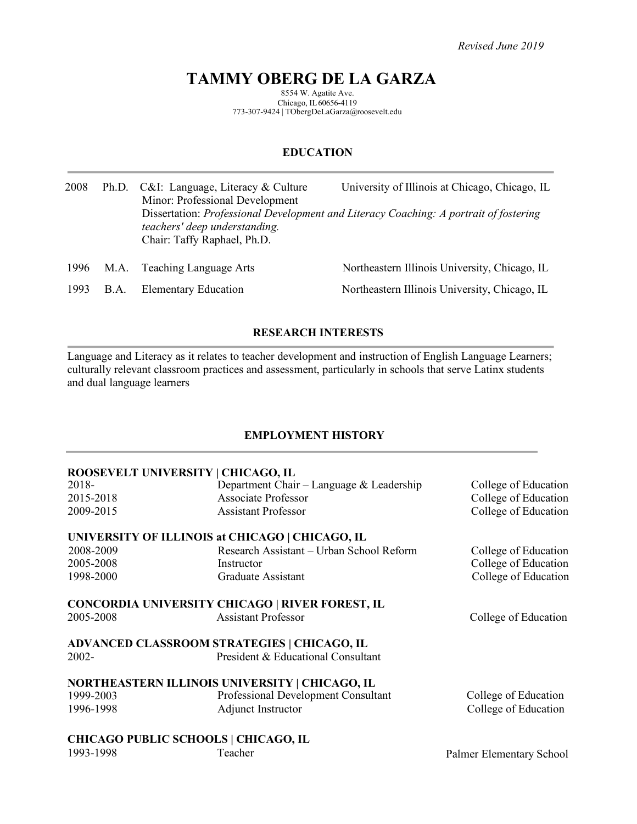# **TAMMY OBERG DE LA GARZA**

8554 W. Agatite Ave. Chicago, IL60656-4119 773-307-9424 | TObergDeLaGarza@roosevelt.edu

# **EDUCATION**

| 2008 |             | Ph.D. C&I: Language, Literacy & Culture<br>Minor: Professional Development<br>teachers' deep understanding.<br>Chair: Taffy Raphael, Ph.D. | University of Illinois at Chicago, Chicago, IL<br>Dissertation: Professional Development and Literacy Coaching: A portrait of fostering |
|------|-------------|--------------------------------------------------------------------------------------------------------------------------------------------|-----------------------------------------------------------------------------------------------------------------------------------------|
| 1996 | M.A.        | <b>Teaching Language Arts</b>                                                                                                              | Northeastern Illinois University, Chicago, IL                                                                                           |
| 1993 | <b>B.A.</b> | <b>Elementary Education</b>                                                                                                                | Northeastern Illinois University, Chicago, IL                                                                                           |

# **RESEARCH INTERESTS**

Language and Literacy as it relates to teacher development and instruction of English Language Learners; culturally relevant classroom practices and assessment, particularly in schools that serve Latinx students and dual language learners

# **EMPLOYMENT HISTORY**

# **ROOSEVELT UNIVERSITY | CHICAGO, IL**

| 2018-     | Department Chair - Language & Leadership               | College of Education     |
|-----------|--------------------------------------------------------|--------------------------|
| 2015-2018 | <b>Associate Professor</b>                             | College of Education     |
| 2009-2015 | <b>Assistant Professor</b>                             | College of Education     |
|           | UNIVERSITY OF ILLINOIS at CHICAGO   CHICAGO, IL        |                          |
| 2008-2009 | Research Assistant - Urban School Reform               | College of Education     |
| 2005-2008 | Instructor                                             | College of Education     |
| 1998-2000 | Graduate Assistant                                     | College of Education     |
|           | <b>CONCORDIA UNIVERSITY CHICAGO   RIVER FOREST, IL</b> |                          |
| 2005-2008 | <b>Assistant Professor</b>                             | College of Education     |
|           | ADVANCED CLASSROOM STRATEGIES   CHICAGO, IL            |                          |
| 2002-     | President & Educational Consultant                     |                          |
|           | NORTHEASTERN ILLINOIS UNIVERSITY   CHICAGO, IL         |                          |
| 1999-2003 | Professional Development Consultant                    | College of Education     |
| 1996-1998 | Adjunct Instructor                                     | College of Education     |
|           | <b>CHICAGO PUBLIC SCHOOLS   CHICAGO, IL</b>            |                          |
| 1993-1998 | Teacher                                                | Palmer Elementary School |
|           |                                                        |                          |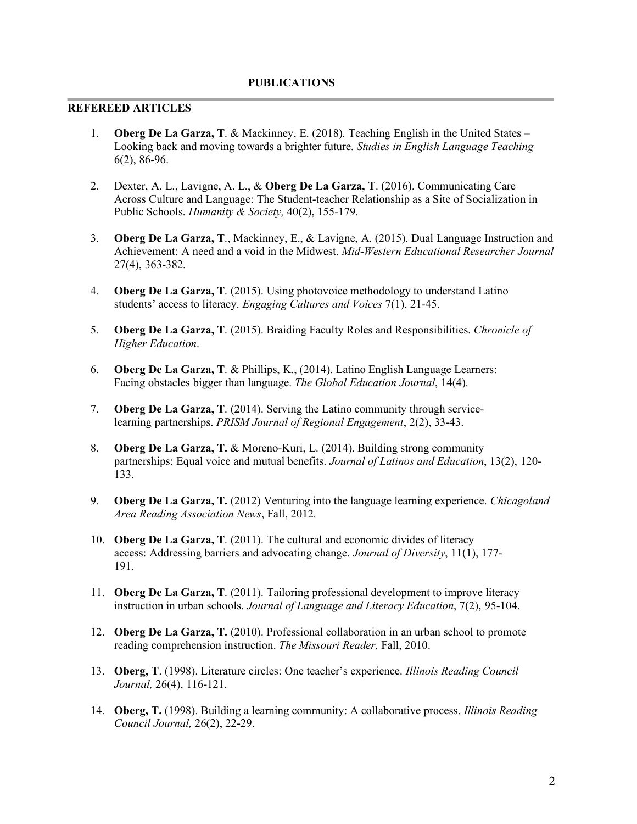## **REFEREED ARTICLES**

- 1. **Oberg De La Garza, T**. & Mackinney, E. (2018). Teaching English in the United States Looking back and moving towards a brighter future. *Studies in English Language Teaching* 6(2), 86-96.
- 2. Dexter, A. L., Lavigne, A. L., & **Oberg De La Garza, T**. (2016). Communicating Care Across Culture and Language: The Student-teacher Relationship as a Site of Socialization in Public Schools. *Humanity & Society,* 40(2), 155-179.
- 3. **Oberg De La Garza, T**., Mackinney, E., & Lavigne, A. (2015). Dual Language Instruction and Achievement: A need and a void in the Midwest. *Mid-Western Educational Researcher Journal*  27(4), 363-382.
- 4. **Oberg De La Garza, T**. (2015). Using photovoice methodology to understand Latino students' access to literacy. *Engaging Cultures and Voices* 7(1), 21-45.
- 5. **Oberg De La Garza, T**. (2015). Braiding Faculty Roles and Responsibilities. *Chronicle of Higher Education*.
- 6. **Oberg De La Garza, T**. & Phillips, K., (2014). Latino English Language Learners: Facing obstacles bigger than language. *The Global Education Journal*, 14(4).
- 7. **Oberg De La Garza, T**. (2014). Serving the Latino community through servicelearning partnerships. *PRISM Journal of Regional Engagement*, 2(2), 33-43.
- 8. **Oberg De La Garza, T.** & Moreno-Kuri, L. (2014). Building strong community partnerships: Equal voice and mutual benefits. *Journal of Latinos and Education*, 13(2), 120- 133.
- 9. **Oberg De La Garza, T.** (2012) Venturing into the language learning experience. *Chicagoland Area Reading Association News*, Fall, 2012.
- 10. **Oberg De La Garza, T**. (2011). The cultural and economic divides of literacy access: Addressing barriers and advocating change. *Journal of Diversity*, 11(1), 177- 191.
- 11. **Oberg De La Garza, T**. (2011). Tailoring professional development to improve literacy instruction in urban schools. *Journal of Language and Literacy Education*, 7(2), 95-104.
- 12. **Oberg De La Garza, T.** (2010). Professional collaboration in an urban school to promote reading comprehension instruction. *The Missouri Reader,* Fall, 2010.
- 13. **Oberg, T**. (1998). Literature circles: One teacher's experience. *Illinois Reading Council Journal,* 26(4), 116-121.
- 14. **Oberg, T.** (1998). Building a learning community: A collaborative process. *Illinois Reading Council Journal,* 26(2), 22-29.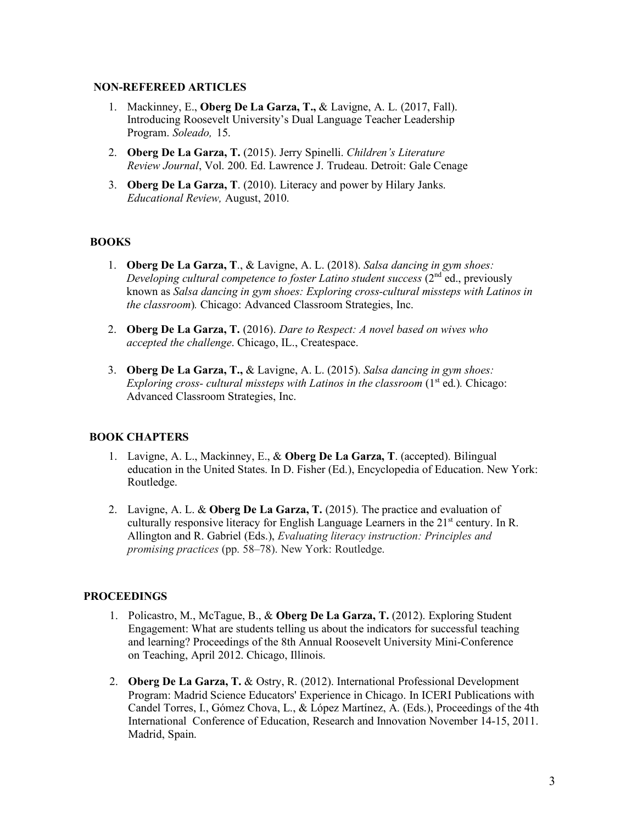## **NON-REFEREED ARTICLES**

- 1. Mackinney, E., **Oberg De La Garza, T.,** & Lavigne, A. L. (2017, Fall). Introducing Roosevelt University's Dual Language Teacher Leadership Program. *Soleado,* 15.
- 2. **Oberg De La Garza, T.** (2015). Jerry Spinelli. *Children's Literature Review Journal*, Vol. 200. Ed. Lawrence J. Trudeau. Detroit: Gale Cenage
- 3. **Oberg De La Garza, T**. (2010). Literacy and power by Hilary Janks. *Educational Review,* August, 2010.

## **BOOKS**

- 1. **Oberg De La Garza, T**., & Lavigne, A. L. (2018). *Salsa dancing in gym shoes: Developing cultural competence to foster Latino student success (2<sup>nd</sup> ed., previously* known as *Salsa dancing in gym shoes: Exploring cross-cultural missteps with Latinos in the classroom*)*.* Chicago: Advanced Classroom Strategies, Inc.
- 2. **Oberg De La Garza, T.** (2016). *Dare to Respect: A novel based on wives who accepted the challenge*. Chicago, IL., Createspace.
- 3. **Oberg De La Garza, T.,** & Lavigne, A. L. (2015). *Salsa dancing in gym shoes: Exploring cross- cultural missteps with Latinos in the classroom* (1<sup>st</sup> ed.). Chicago: Advanced Classroom Strategies, Inc.

## **BOOK CHAPTERS**

- 1. Lavigne, A. L., Mackinney, E., & **Oberg De La Garza, T**. (accepted). Bilingual education in the United States. In D. Fisher (Ed.), Encyclopedia of Education. New York: Routledge.
- 2. Lavigne, A. L. & **Oberg De La Garza, T.** (2015). The practice and evaluation of culturally responsive literacy for English Language Learners in the  $21<sup>st</sup>$  century. In R. Allington and R. Gabriel (Eds.), *Evaluating literacy instruction: Principles and promising practices* (pp. 58–78). New York: Routledge.

## **PROCEEDINGS**

- 1. Policastro, M., McTague, B., & **Oberg De La Garza, T.** (2012). Exploring Student Engagement: What are students telling us about the indicators for successful teaching and learning? Proceedings of the 8th Annual Roosevelt University Mini-Conference on Teaching, April 2012. Chicago, Illinois.
- 2. **Oberg De La Garza, T.** & Ostry, R. (2012). International Professional Development Program: Madrid Science Educators' Experience in Chicago. In ICERI Publications with Candel Torres, I., Gómez Chova, L., & López Martínez, A. (Eds.), Proceedings of the 4th International Conference of Education, Research and Innovation November 14-15, 2011. Madrid, Spain.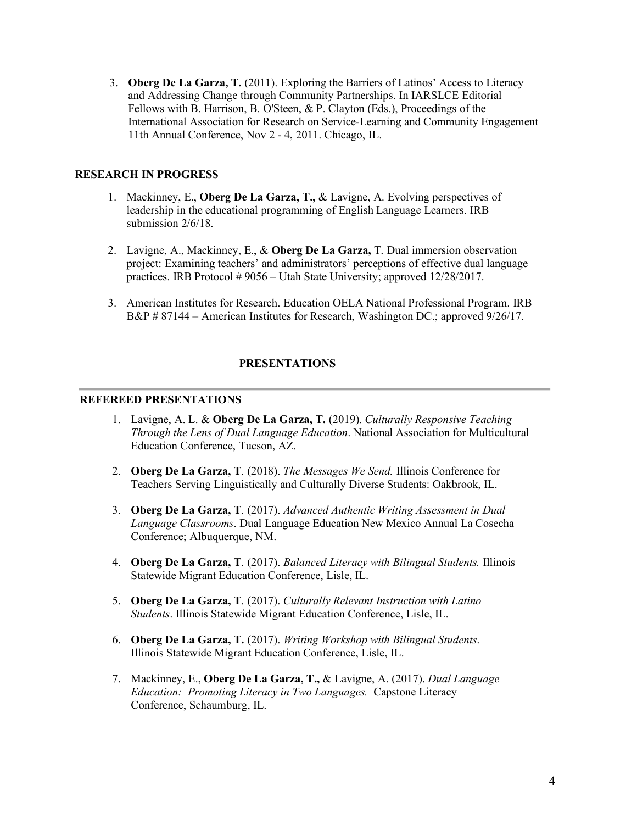3. **Oberg De La Garza, T.** (2011). Exploring the Barriers of Latinos' Access to Literacy and Addressing Change through Community Partnerships. In IARSLCE Editorial Fellows with B. Harrison, B. O'Steen, & P. Clayton (Eds.), Proceedings of the International Association for Research on Service-Learning and Community Engagement 11th Annual Conference, Nov 2 - 4, 2011. Chicago, IL.

# **RESEARCH IN PROGRESS**

- 1. Mackinney, E., **Oberg De La Garza, T.,** & Lavigne, A. Evolving perspectives of leadership in the educational programming of English Language Learners. IRB submission 2/6/18.
- 2. Lavigne, A., Mackinney, E., & **Oberg De La Garza,** T. Dual immersion observation project: Examining teachers' and administrators' perceptions of effective dual language practices. IRB Protocol # 9056 – Utah State University; approved 12/28/2017.
- 3. American Institutes for Research. Education OELA National Professional Program. IRB B&P # 87144 – American Institutes for Research, Washington DC.; approved 9/26/17.

# **PRESENTATIONS**

#### **REFEREED PRESENTATIONS**

- 1. Lavigne, A. L. & **Oberg De La Garza, T.** (2019). *Culturally Responsive Teaching Through the Lens of Dual Language Education*. National Association for Multicultural Education Conference, Tucson, AZ.
- 2. **Oberg De La Garza, T**. (2018). *The Messages We Send.* Illinois Conference for Teachers Serving Linguistically and Culturally Diverse Students: Oakbrook, IL.
- 3. **Oberg De La Garza, T**. (2017). *Advanced Authentic Writing Assessment in Dual Language Classrooms*. Dual Language Education New Mexico Annual La Cosecha Conference; Albuquerque, NM.
- 4. **Oberg De La Garza, T**. (2017). *Balanced Literacy with Bilingual Students.* Illinois Statewide Migrant Education Conference, Lisle, IL.
- 5. **Oberg De La Garza, T**. (2017). *Culturally Relevant Instruction with Latino Students*. Illinois Statewide Migrant Education Conference, Lisle, IL.
- 6. **Oberg De La Garza, T.** (2017). *Writing Workshop with Bilingual Students*. Illinois Statewide Migrant Education Conference, Lisle, IL.
- 7. Mackinney, E., **Oberg De La Garza, T.,** & Lavigne, A. (2017). *Dual Language Education: Promoting Literacy in Two Languages.* Capstone Literacy Conference, Schaumburg, IL.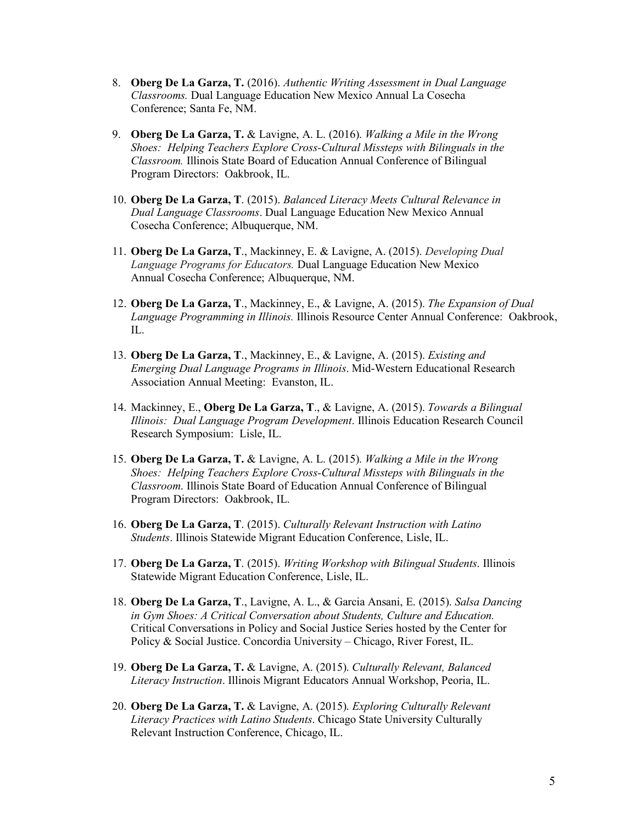- 8. **Oberg De La Garza, T.** (2016). *Authentic Writing Assessment in Dual Language Classrooms.* Dual Language Education New Mexico Annual La Cosecha Conference; Santa Fe, NM.
- 9. **Oberg De La Garza, T.** & Lavigne, A. L. (2016). *Walking a Mile in the Wrong Shoes: Helping Teachers Explore Cross-Cultural Missteps with Bilinguals in the Classroom.* Illinois State Board of Education Annual Conference of Bilingual Program Directors: Oakbrook, IL.
- 10. **Oberg De La Garza, T**. (2015). *Balanced Literacy Meets Cultural Relevance in Dual Language Classrooms*. Dual Language Education New Mexico Annual Cosecha Conference; Albuquerque, NM.
- 11. **Oberg De La Garza, T**., Mackinney, E. & Lavigne, A. (2015). *Developing Dual Language Programs for Educators.* Dual Language Education New Mexico Annual Cosecha Conference; Albuquerque, NM.
- 12. **Oberg De La Garza, T**., Mackinney, E., & Lavigne, A. (2015). *The Expansion of Dual Language Programming in Illinois.* Illinois Resource Center Annual Conference: Oakbrook, IL.
- 13. **Oberg De La Garza, T**., Mackinney, E., & Lavigne, A. (2015). *Existing and Emerging Dual Language Programs in Illinois*. Mid-Western Educational Research Association Annual Meeting: Evanston, IL.
- 14. Mackinney, E., **Oberg De La Garza, T**., & Lavigne, A. (2015). *Towards a Bilingual Illinois: Dual Language Program Development*. Illinois Education Research Council Research Symposium: Lisle, IL.
- 15. **Oberg De La Garza, T.** & Lavigne, A. L. (2015). *Walking a Mile in the Wrong Shoes: Helping Teachers Explore Cross-Cultural Missteps with Bilinguals in the Classroom*. Illinois State Board of Education Annual Conference of Bilingual Program Directors: Oakbrook, IL.
- 16. **Oberg De La Garza, T**. (2015). *Culturally Relevant Instruction with Latino Students*. Illinois Statewide Migrant Education Conference, Lisle, IL.
- 17. **Oberg De La Garza, T**. (2015). *Writing Workshop with Bilingual Students*. Illinois Statewide Migrant Education Conference, Lisle, IL.
- 18. **Oberg De La Garza, T**., Lavigne, A. L., & Garcia Ansani, E. (2015). *Salsa Dancing in Gym Shoes: A Critical Conversation about Students, Culture and Education.* Critical Conversations in Policy and Social Justice Series hosted by the Center for Policy & Social Justice. Concordia University – Chicago, River Forest, IL.
- 19. **Oberg De La Garza, T.** & Lavigne, A. (2015). *Culturally Relevant, Balanced Literacy Instruction*. Illinois Migrant Educators Annual Workshop, Peoria, IL.
- 20. **Oberg De La Garza, T.** & Lavigne, A. (2015). *Exploring Culturally Relevant Literacy Practices with Latino Students*. Chicago State University Culturally Relevant Instruction Conference, Chicago, IL.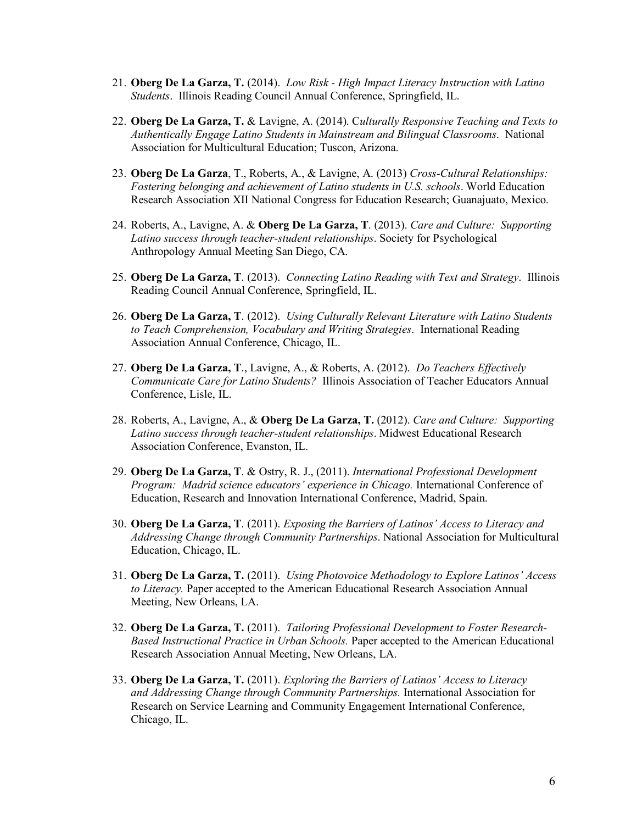- 21. **Oberg De La Garza, T.** (2014). *Low Risk - High Impact Literacy Instruction with Latino Students*. Illinois Reading Council Annual Conference, Springfield, IL.
- 22. **Oberg De La Garza, T.** & Lavigne, A. (2014). C*ulturally Responsive Teaching and Texts to Authentically Engage Latino Students in Mainstream and Bilingual Classrooms*. National Association for Multicultural Education; Tuscon, Arizona.
- 23. **Oberg De La Garza**, T., Roberts, A., & Lavigne, A. (2013) *Cross-Cultural Relationships: Fostering belonging and achievement of Latino students in U.S. schools*. World Education Research Association XII National Congress for Education Research; Guanajuato, Mexico.
- 24. Roberts, A., Lavigne, A. & **Oberg De La Garza, T**. (2013). *Care and Culture: Supporting Latino success through teacher-student relationships*. Society for Psychological Anthropology Annual Meeting San Diego, CA.
- 25. **Oberg De La Garza, T**. (2013). *Connecting Latino Reading with Text and Strategy*. Illinois Reading Council Annual Conference, Springfield, IL.
- 26. **Oberg De La Garza, T**. (2012). *Using Culturally Relevant Literature with Latino Students to Teach Comprehension, Vocabulary and Writing Strategies*. International Reading Association Annual Conference, Chicago, IL.
- 27. **Oberg De La Garza, T**., Lavigne, A., & Roberts, A. (2012). *Do Teachers Effectively Communicate Care for Latino Students?* Illinois Association of Teacher Educators Annual Conference, Lisle, IL.
- 28. Roberts, A., Lavigne, A., & **Oberg De La Garza, T.** (2012). *Care and Culture: Supporting Latino success through teacher-student relationships*. Midwest Educational Research Association Conference, Evanston, IL.
- 29. **Oberg De La Garza, T**. & Ostry, R. J., (2011). *International Professional Development Program: Madrid science educators' experience in Chicago. International Conference of* Education, Research and Innovation International Conference, Madrid, Spain.
- 30. **Oberg De La Garza, T**. (2011). *Exposing the Barriers of Latinos' Access to Literacy and Addressing Change through Community Partnerships*. National Association for Multicultural Education, Chicago, IL.
- 31. **Oberg De La Garza, T.** (2011). *Using Photovoice Methodology to Explore Latinos' Access to Literacy.* Paper accepted to the American Educational Research Association Annual Meeting, New Orleans, LA.
- 32. **Oberg De La Garza, T.** (2011). *Tailoring Professional Development to Foster Research-Based Instructional Practice in Urban Schools.* Paper accepted to the American Educational Research Association Annual Meeting, New Orleans, LA.
- 33. **Oberg De La Garza, T.** (2011). *Exploring the Barriers of Latinos' Access to Literacy and Addressing Change through Community Partnerships.* International Association for Research on Service Learning and Community Engagement International Conference, Chicago, IL.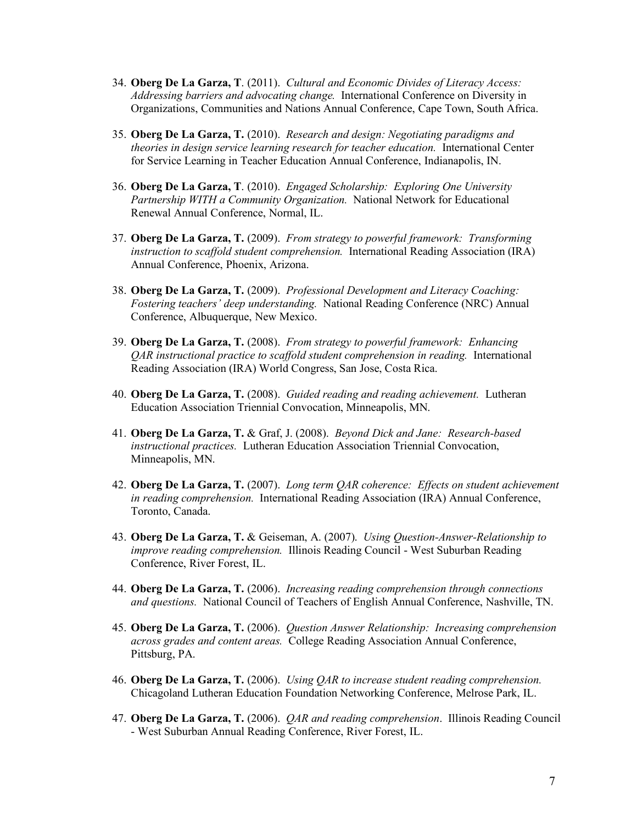- 34. **Oberg De La Garza, T**. (2011). *Cultural and Economic Divides of Literacy Access: Addressing barriers and advocating change.* International Conference on Diversity in Organizations, Communities and Nations Annual Conference, Cape Town, South Africa.
- 35. **Oberg De La Garza, T.** (2010). *Research and design: Negotiating paradigms and theories in design service learning research for teacher education.* International Center for Service Learning in Teacher Education Annual Conference, Indianapolis, IN.
- 36. **Oberg De La Garza, T**. (2010). *Engaged Scholarship: Exploring One University Partnership WITH a Community Organization.* National Network for Educational Renewal Annual Conference, Normal, IL.
- 37. **Oberg De La Garza, T.** (2009). *From strategy to powerful framework: Transforming instruction to scaffold student comprehension.* International Reading Association (IRA) Annual Conference, Phoenix, Arizona.
- 38. **Oberg De La Garza, T.** (2009). *Professional Development and Literacy Coaching: Fostering teachers' deep understanding.* National Reading Conference (NRC) Annual Conference, Albuquerque, New Mexico.
- 39. **Oberg De La Garza, T.** (2008). *From strategy to powerful framework: Enhancing QAR instructional practice to scaffold student comprehension in reading.* International Reading Association (IRA) World Congress, San Jose, Costa Rica.
- 40. **Oberg De La Garza, T.** (2008). *Guided reading and reading achievement.* Lutheran Education Association Triennial Convocation, Minneapolis, MN.
- 41. **Oberg De La Garza, T.** & Graf, J. (2008). *Beyond Dick and Jane: Research-based instructional practices.* Lutheran Education Association Triennial Convocation, Minneapolis, MN.
- 42. **Oberg De La Garza, T.** (2007). *Long term QAR coherence: Effects on student achievement in reading comprehension.* International Reading Association (IRA) Annual Conference, Toronto, Canada.
- 43. **Oberg De La Garza, T.** & Geiseman, A. (2007). *Using Question-Answer-Relationship to improve reading comprehension.* Illinois Reading Council - West Suburban Reading Conference, River Forest, IL.
- 44. **Oberg De La Garza, T.** (2006). *Increasing reading comprehension through connections and questions.* National Council of Teachers of English Annual Conference, Nashville, TN.
- 45. **Oberg De La Garza, T.** (2006). *Question Answer Relationship: Increasing comprehension across grades and content areas.* College Reading Association Annual Conference, Pittsburg, PA.
- 46. **Oberg De La Garza, T.** (2006). *Using QAR to increase student reading comprehension.* Chicagoland Lutheran Education Foundation Networking Conference, Melrose Park, IL.
- 47. **Oberg De La Garza, T.** (2006). *QAR and reading comprehension*. Illinois Reading Council - West Suburban Annual Reading Conference, River Forest, IL.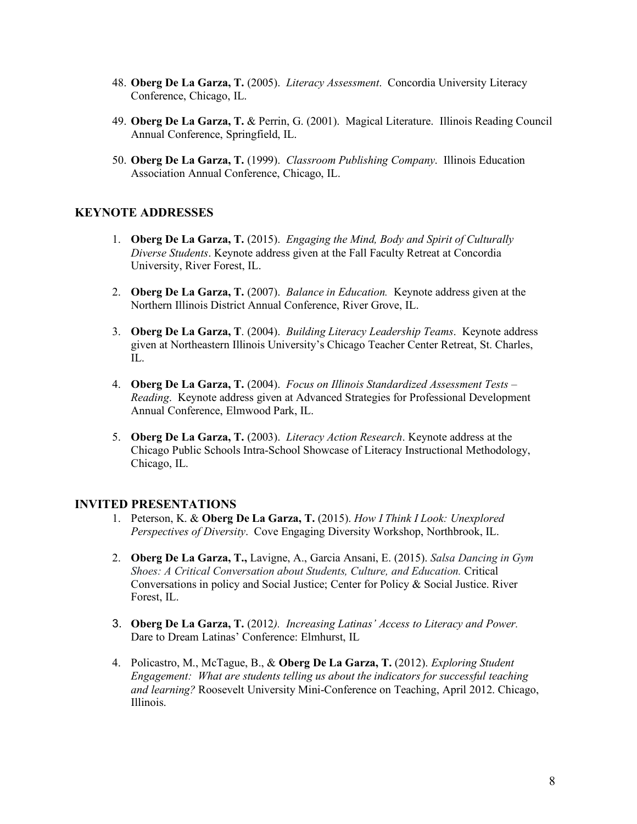- 48. **Oberg De La Garza, T.** (2005). *Literacy Assessment*. Concordia University Literacy Conference, Chicago, IL.
- 49. **Oberg De La Garza, T.** & Perrin, G. (2001). Magical Literature. Illinois Reading Council Annual Conference, Springfield, IL.
- 50. **Oberg De La Garza, T.** (1999). *Classroom Publishing Company*. Illinois Education Association Annual Conference, Chicago, IL.

# **KEYNOTE ADDRESSES**

- 1. **Oberg De La Garza, T.** (2015). *Engaging the Mind, Body and Spirit of Culturally Diverse Students*. Keynote address given at the Fall Faculty Retreat at Concordia University, River Forest, IL.
- 2. **Oberg De La Garza, T.** (2007). *Balance in Education.* Keynote address given at the Northern Illinois District Annual Conference, River Grove, IL.
- 3. **Oberg De La Garza, T**. (2004). *Building Literacy Leadership Teams*. Keynote address given at Northeastern Illinois University's Chicago Teacher Center Retreat, St. Charles, IL.
- 4. **Oberg De La Garza, T.** (2004). *Focus on Illinois Standardized Assessment Tests – Reading*. Keynote address given at Advanced Strategies for Professional Development Annual Conference, Elmwood Park, IL.
- 5. **Oberg De La Garza, T.** (2003). *Literacy Action Research*. Keynote address at the Chicago Public Schools Intra-School Showcase of Literacy Instructional Methodology, Chicago, IL.

## **INVITED PRESENTATIONS**

- 1. Peterson, K. & **Oberg De La Garza, T.** (2015). *How I Think I Look: Unexplored Perspectives of Diversity*. Cove Engaging Diversity Workshop, Northbrook, IL.
- 2. **Oberg De La Garza, T.,** Lavigne, A., Garcia Ansani, E. (2015). *Salsa Dancing in Gym Shoes: A Critical Conversation about Students, Culture, and Education.* Critical Conversations in policy and Social Justice; Center for Policy & Social Justice. River Forest, IL.
- 3. **Oberg De La Garza, T.** (2012*). Increasing Latinas' Access to Literacy and Power.*  Dare to Dream Latinas' Conference: Elmhurst, IL
- 4. Policastro, M., McTague, B., & **Oberg De La Garza, T.** (2012). *Exploring Student Engagement: What are students telling us about the indicators for successful teaching and learning?* Roosevelt University Mini-Conference on Teaching, April 2012. Chicago, Illinois.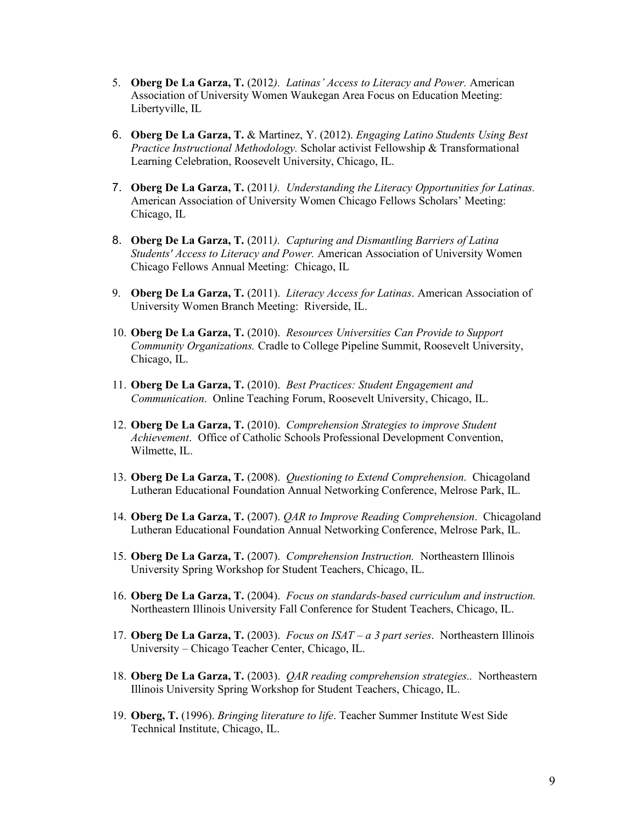- 5. **Oberg De La Garza, T.** (2012*). Latinas' Access to Literacy and Power.* American Association of University Women Waukegan Area Focus on Education Meeting: Libertyville, IL
- 6. **Oberg De La Garza, T.** & Martinez, Y. (2012). *Engaging Latino Students Using Best Practice Instructional Methodology.* Scholar activist Fellowship & Transformational Learning Celebration, Roosevelt University, Chicago, IL.
- 7. **Oberg De La Garza, T.** (2011*). Understanding the Literacy Opportunities for Latinas.* American Association of University Women Chicago Fellows Scholars' Meeting: Chicago, IL
- 8. **Oberg De La Garza, T.** (2011*). Capturing and Dismantling Barriers of Latina Students' Access to Literacy and Power.* American Association of University Women Chicago Fellows Annual Meeting: Chicago, IL
- 9. **Oberg De La Garza, T.** (2011). *Literacy Access for Latinas*. American Association of University Women Branch Meeting: Riverside, IL.
- 10. **Oberg De La Garza, T.** (2010). *Resources Universities Can Provide to Support Community Organizations.* Cradle to College Pipeline Summit, Roosevelt University, Chicago, IL.
- 11. **Oberg De La Garza, T.** (2010). *Best Practices: Student Engagement and Communication*. Online Teaching Forum, Roosevelt University, Chicago, IL.
- 12. **Oberg De La Garza, T.** (2010). *Comprehension Strategies to improve Student Achievement*. Office of Catholic Schools Professional Development Convention, Wilmette, IL.
- 13. **Oberg De La Garza, T.** (2008). *Questioning to Extend Comprehension*. Chicagoland Lutheran Educational Foundation Annual Networking Conference, Melrose Park, IL.
- 14. **Oberg De La Garza, T.** (2007). *QAR to Improve Reading Comprehension*. Chicagoland Lutheran Educational Foundation Annual Networking Conference, Melrose Park, IL.
- 15. **Oberg De La Garza, T.** (2007). *Comprehension Instruction.* Northeastern Illinois University Spring Workshop for Student Teachers, Chicago, IL.
- 16. **Oberg De La Garza, T.** (2004). *Focus on standards-based curriculum and instruction.* Northeastern Illinois University Fall Conference for Student Teachers, Chicago, IL.
- 17. **Oberg De La Garza, T.** (2003). *Focus on ISAT – a 3 part series*. Northeastern Illinois University – Chicago Teacher Center, Chicago, IL.
- 18. **Oberg De La Garza, T.** (2003). *QAR reading comprehension strategies..* Northeastern Illinois University Spring Workshop for Student Teachers, Chicago, IL.
- 19. **Oberg, T.** (1996). *Bringing literature to life*. Teacher Summer Institute West Side Technical Institute, Chicago, IL.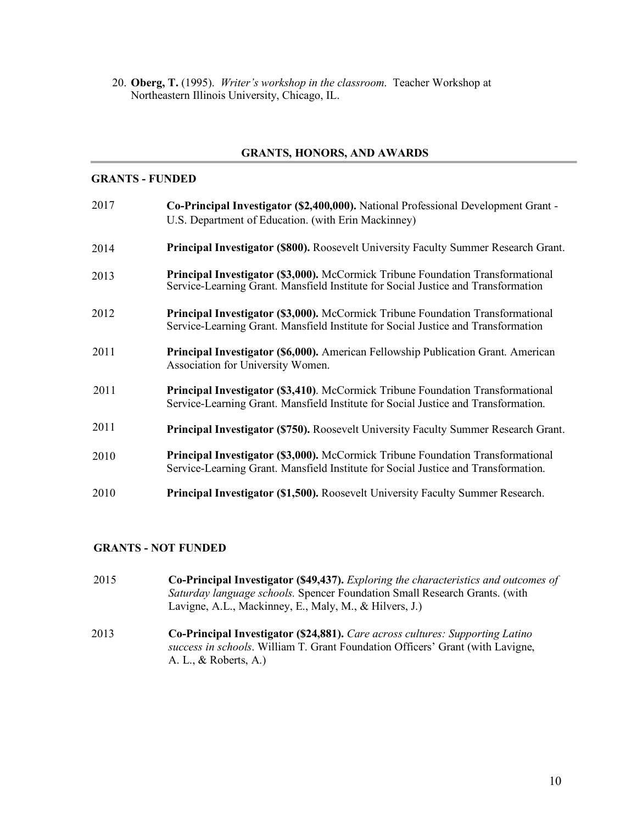20. **Oberg, T.** (1995). *Writer's workshop in the classroom*. Teacher Workshop at Northeastern Illinois University, Chicago, IL.

#### **GRANTS, HONORS, AND AWARDS**

#### **GRANTS - FUNDED**

| 2017 | Co-Principal Investigator (\$2,400,000). National Professional Development Grant -<br>U.S. Department of Education. (with Erin Mackinney)                                    |
|------|------------------------------------------------------------------------------------------------------------------------------------------------------------------------------|
| 2014 | Principal Investigator (\$800). Roosevelt University Faculty Summer Research Grant.                                                                                          |
| 2013 | <b>Principal Investigator (\$3,000).</b> McCormick Tribune Foundation Transformational<br>Service-Learning Grant. Mansfield Institute for Social Justice and Transformation  |
| 2012 | <b>Principal Investigator (\$3,000).</b> McCormick Tribune Foundation Transformational<br>Service-Learning Grant. Mansfield Institute for Social Justice and Transformation  |
| 2011 | <b>Principal Investigator (\$6,000).</b> American Fellowship Publication Grant. American<br>Association for University Women.                                                |
| 2011 | Principal Investigator (\$3,410). McCormick Tribune Foundation Transformational<br>Service-Learning Grant. Mansfield Institute for Social Justice and Transformation.        |
| 2011 | Principal Investigator (\$750). Roosevelt University Faculty Summer Research Grant.                                                                                          |
| 2010 | <b>Principal Investigator (\$3,000).</b> McCormick Tribune Foundation Transformational<br>Service-Learning Grant. Mansfield Institute for Social Justice and Transformation. |
| 2010 | <b>Principal Investigator (\$1,500).</b> Roosevelt University Faculty Summer Research.                                                                                       |
|      |                                                                                                                                                                              |

#### **GRANTS - NOT FUNDED**

- 2015 **Co-Principal Investigator (\$49,437).** *Exploring the characteristics and outcomes of Saturday language schools.* Spencer Foundation Small Research Grants. (with Lavigne, A.L., Mackinney, E., Maly, M., & Hilvers, J.)
- 2013 **Co-Principal Investigator (\$24,881).** *Care across cultures: Supporting Latino success in schools*. William T. Grant Foundation Officers' Grant (with Lavigne, A. L., & Roberts, A.)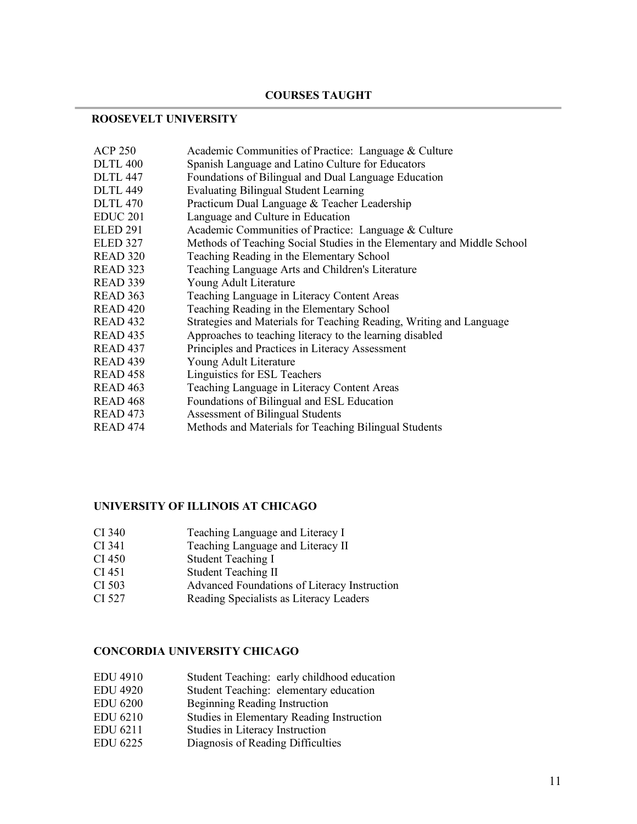## **COURSES TAUGHT**

## **ROOSEVELT UNIVERSITY**

| <b>ACP 250</b>      | Academic Communities of Practice: Language & Culture                   |
|---------------------|------------------------------------------------------------------------|
| <b>DLTL 400</b>     | Spanish Language and Latino Culture for Educators                      |
| <b>DLTL 447</b>     | Foundations of Bilingual and Dual Language Education                   |
| <b>DLTL 449</b>     | <b>Evaluating Bilingual Student Learning</b>                           |
| <b>DLTL 470</b>     | Practicum Dual Language & Teacher Leadership                           |
| <b>EDUC 201</b>     | Language and Culture in Education                                      |
| <b>ELED 291</b>     | Academic Communities of Practice: Language & Culture                   |
| <b>ELED 327</b>     | Methods of Teaching Social Studies in the Elementary and Middle School |
| <b>READ 320</b>     | Teaching Reading in the Elementary School                              |
| READ 323            | Teaching Language Arts and Children's Literature                       |
| READ 339            | Young Adult Literature                                                 |
| READ 363            | Teaching Language in Literacy Content Areas                            |
| READ <sub>420</sub> | Teaching Reading in the Elementary School                              |
| READ <sub>432</sub> | Strategies and Materials for Teaching Reading, Writing and Language    |
| READ <sub>435</sub> | Approaches to teaching literacy to the learning disabled               |
| READ <sub>437</sub> | Principles and Practices in Literacy Assessment                        |
| READ <sub>439</sub> | Young Adult Literature                                                 |
| READ <sub>458</sub> | Linguistics for ESL Teachers                                           |
| READ <sub>463</sub> | Teaching Language in Literacy Content Areas                            |
| READ <sub>468</sub> | Foundations of Bilingual and ESL Education                             |
| READ <sub>473</sub> | Assessment of Bilingual Students                                       |
| READ <sub>474</sub> | Methods and Materials for Teaching Bilingual Students                  |

# **UNIVERSITY OF ILLINOIS AT CHICAGO**

- CI 340 Teaching Language and Literacy I<br>CI 341 Teaching Language and Literacy II
- Teaching Language and Literacy II
- CI 450 Student Teaching I
- CI 451 Student Teaching II
- CI 503 Advanced Foundations of Literacy Instruction
- CI 527 Reading Specialists as Literacy Leaders

# **CONCORDIA UNIVERSITY CHICAGO**

- EDU 4910 Student Teaching: early childhood education
- EDU 4920 Student Teaching: elementary education
- EDU 6200 Beginning Reading Instruction
- EDU 6210 Studies in Elementary Reading Instruction
- EDU 6211 Studies in Literacy Instruction
- EDU 6225 Diagnosis of Reading Difficulties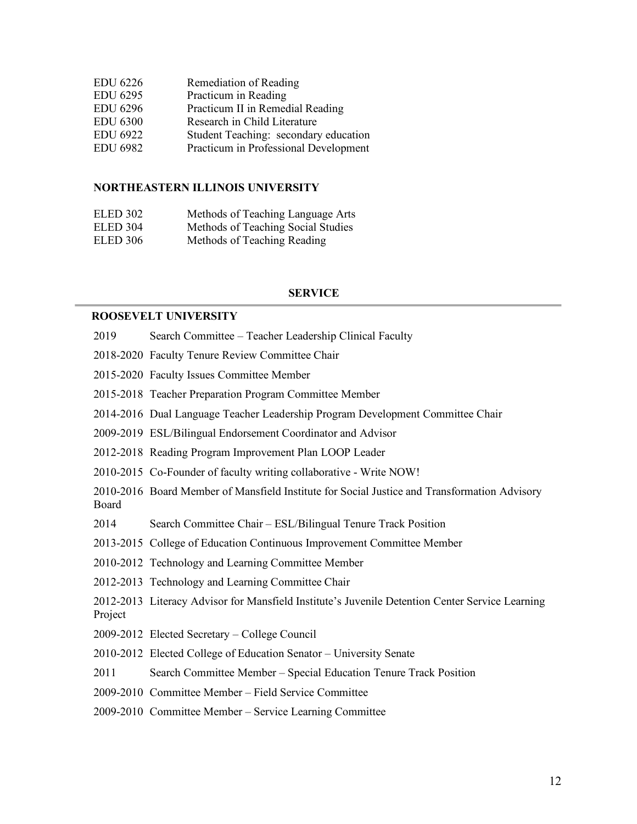| <b>EDU 6226</b> | Remediation of Reading                |
|-----------------|---------------------------------------|
| <b>EDU 6295</b> | Practicum in Reading                  |
| <b>EDU 6296</b> | Practicum II in Remedial Reading      |
| <b>EDU 6300</b> | Research in Child Literature          |
| <b>EDU 6922</b> | Student Teaching: secondary education |
| <b>EDU 6982</b> | Practicum in Professional Development |
|                 |                                       |

#### **NORTHEASTERN ILLINOIS UNIVERSITY**

| ELED 302 | Methods of Teaching Language Arts  |
|----------|------------------------------------|
| ELED 304 | Methods of Teaching Social Studies |
| ELED 306 | Methods of Teaching Reading        |

#### **SERVICE**

#### **ROOSEVELT UNIVERSITY**

- 2019 Search Committee Teacher Leadership Clinical Faculty
- 2018-2020 Faculty Tenure Review Committee Chair
- 2015-2020 Faculty Issues Committee Member
- 2015-2018 Teacher Preparation Program Committee Member
- 2014-2016 Dual Language Teacher Leadership Program Development Committee Chair
- 2009-2019 ESL/Bilingual Endorsement Coordinator and Advisor
- 2012-2018 Reading Program Improvement Plan LOOP Leader
- 2010-2015 Co-Founder of faculty writing collaborative Write NOW!
- 2010-2016 Board Member of Mansfield Institute for Social Justice and Transformation Advisory Board
- 2014 Search Committee Chair ESL/Bilingual Tenure Track Position
- 2013-2015 College of Education Continuous Improvement Committee Member
- 2010-2012 Technology and Learning Committee Member
- 2012-2013 Technology and Learning Committee Chair
- 2012-2013 Literacy Advisor for Mansfield Institute's Juvenile Detention Center Service Learning Project
- 2009-2012 Elected Secretary College Council
- 2010-2012 Elected College of Education Senator University Senate
- 2011 Search Committee Member Special Education Tenure Track Position
- 2009-2010 Committee Member Field Service Committee
- 2009-2010 Committee Member Service Learning Committee